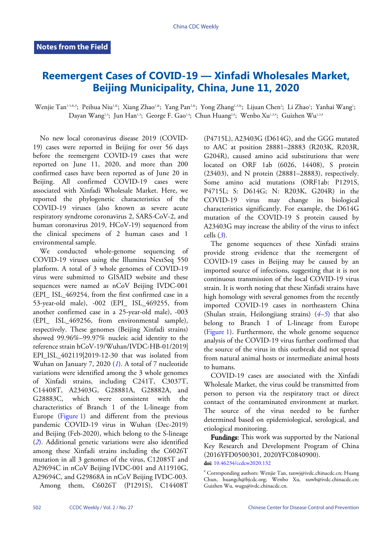## **Reemergent Cases of COVID-19 — Xinfadi Wholesales Market, Beijing Municipality, China, June 11, 2020**

Wenjie Tan<sup>1,3,&,</sup>\*; Peihua Niu<sup>1,&</sup>; Xiang Zhao<sup>1,&</sup>; Yang Pan<sup>2,&</sup>; Yong Zhang<sup>1,3,&</sup>; Lijuan Chen<sup>2</sup>; Li Zhao<sup>1</sup>; Yanhai Wang<sup>1</sup>; Dayan Wang<sup>1,3</sup>; Jun Han<sup>1,3</sup>; George F. Gao<sup>1,4</sup>; Chun Huang<sup>2,#</sup>; Wenbo Xu<sup>1,3,#</sup>; Guizhen Wu<sup>1,3,#</sup>

No new local coronavirus disease 2019 (COVID-19) cases were reported in Beijing for over 56 days before the reemergent COVID-19 cases that were reported on June 11, 2020, and more than 200 confirmed cases have been reported as of June 20 in Beijing. All confirmed COVID-19 cases were associated with Xinfadi Wholesale Market. Here, we reported the phylogenetic characteristics of the COVID-19 viruses (also known as severe acute respiratory syndrome coronavirus 2, SARS-CoV-2, and human coronavirus 2019, HCoV-19) sequenced from the clinical specimens of 2 human cases and 1 environmental sample.

We conducted whole-genome sequencing of COVID-19 viruses using the Illumina NextSeq 550 platform. A total of 3 whole genomes of COVID-19 virus were submitted to GISAID website and these sequences were named as nCoV Beijing IVDC-001 (EPI\_ ISL\_469254, from the first confirmed case in a 53-year-old male), -002 (EPI\_ ISL\_469255, from another confirmed case in a 25-year-old male), -003 (EPI\_ ISL\_469256, from environmental sample), respectively. These genomes (Beijing Xinfadi strains) showed 99.96%–99.97% nucleic acid identity to the reference strain hCoV-19/Wuhan/IVDC-HB-01/2019| EPI\_ISL\_402119|2019-12-30 that was isolated from Wuhan on January 7, 2020 (*[1](#page-2-0)*). A total of 7 nucleotide variations were identified among the 3 whole genomes of Xinfadi strains, including C241T, C3037T, C14408T, A23403G, G28881A, G28882A, and G28883C, which were consistent with the characteristics of Branch 1 of the L-lineage from Europe [\(Figure 1\)](#page-1-0) and different from the previous pandemic COVID-19 virus in Wuhan (Dec-2019) and Beijing (Feb-2020), which belong to the S-lineage (*[2](#page-2-1)*). Additional genetic variations were also identified among these Xinfadi strains including the C6026T mutation in all 3 genomes of the virus, C12085T and A29694C in nCoV Beijing IVDC-001 and A11910G, A29694C, and G29868A in nCoV Beijing IVDC-003. Among them, C6026T (P1291S), C14408T

(P4715L), A23403G (D614G), and the GGG mutated to AAC at position 28881–28883 (R203K, R203R, G204R), caused amino acid substitutions that were located on ORF 1ab (6026, 14408), S protein (23403), and N protein (28881–28883), respectively. Some amino acid mutations (ORF1ab: P1291S, P4715L; S: D614G; N: R203K, G204R) in the COVID-19 virus may change its biological characteristics significantly. For example, the D614G mutation of the COVID-19 S protein caused by A23403G may increase the ability of the virus to infect cells (*[3](#page-2-2)*).

The genome sequences of these Xinfadi strains provide strong evidence that the reemergent of COVID-19 cases in Beijing may be caused by an imported source of infections, suggesting that it is not continuous transmission of the local COVID-19 virus strain. It is worth noting that these Xinfadi strains have high homology with several genomes from the recently imported COVID-19 cases in nort[hea](#page-2-3)[ste](#page-2-4)rn China (Shulan strain, Heilongjiang strains) (*[4](#page-2-3)*–*[5](#page-2-4)*) that also belong to Branch 1 of L-lineage from Europe [\(Figure 1\)](#page-1-0). Furthermore, the whole genome sequence analysis of the COVID-19 virus further confirmed that the source of the virus in this outbreak did not spread from natural animal hosts or intermediate animal hosts to humans.

COVID-19 cases are associated with the Xinfadi Wholesale Market, the virus could be transmitted from person to person via the respiratory tract or direct contact of the contaminated environment at market. The source of the virus needed to be further determined based on epidemiological, serological, and etiological monitoring.

Fundings: This work was supported by the National Key Research and Development Program of China (2[016YFD0500301, 202](https://doi.org/10.46234/ccdcw2020.132)0YFC0840900). doi: [10.46234/ccdcw2020.132](https://doi.org/10.46234/ccdcw2020.132)

<sup>#</sup> Corresponding authors: Wenjie Tan, tanwj@ivdc.chinacdc.cn; Huang Chun, huangch@bjcdc.org; Wenbo Xu, xuwb@ivdc.chinacdc.cn; Guizhen Wu, wugz@ivdc.chinacdc.cn.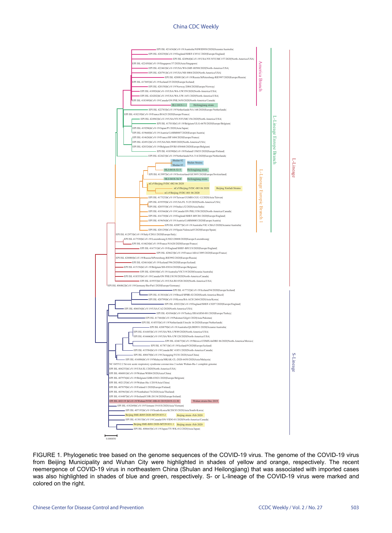## China CDC Weekly

<span id="page-1-0"></span>

FIGURE 1. Phylogenetic tree based on the genome sequences of the COVID-19 virus. The genome of the COVID-19 virus from Beijing Municipality and Wuhan City were highlighted in shades of yellow and orange, respectively. The recent reemergence of COVID-19 virus in northeastern China (Shulan and Heilongjiang) that was associated with imported cases was also highlighted in shades of blue and green, respectively. S- or L-lineage of the COVID-19 virus were marked and colored on the right.